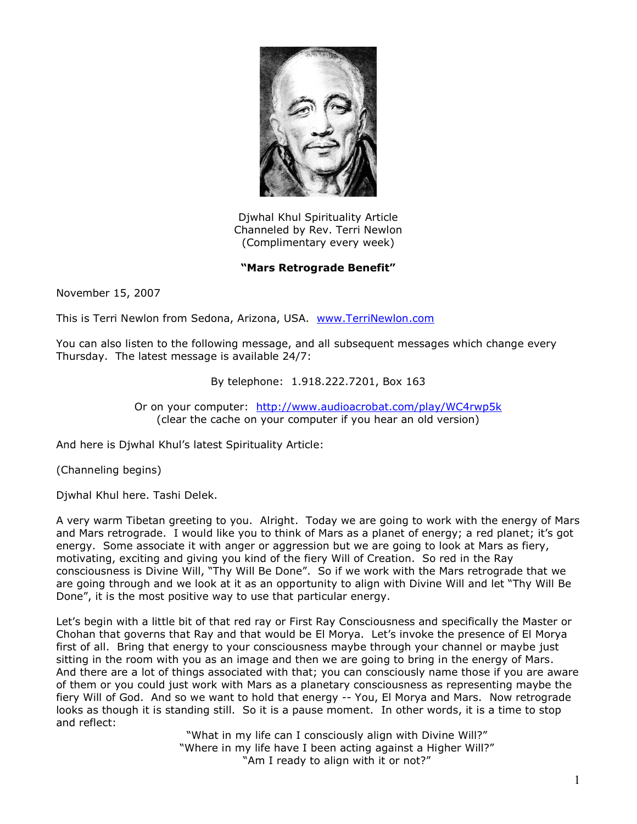

Djwhal Khul Spirituality Article Channeled by Rev. Terri Newlon (Complimentary every week)

## **"Mars Retrograde Benefit"**

November 15, 2007

This is Terri Newlon from Sedona, Arizona, USA. [www.TerriNewlon.com](http://www.terrinewlon.com/)

You can also listen to the following message, and all subsequent messages which change every Thursday. The latest message is available 24/7:

## By telephone: 1.918.222.7201, Box 163

Or on your computer: <http://www.audioacrobat.com/play/WC4rwp5k> (clear the cache on your computer if you hear an old version)

And here is Djwhal Khul's latest Spirituality Article:

(Channeling begins)

Djwhal Khul here. Tashi Delek.

A very warm Tibetan greeting to you. Alright. Today we are going to work with the energy of Mars and Mars retrograde. I would like you to think of Mars as a planet of energy; a red planet; it's got energy. Some associate it with anger or aggression but we are going to look at Mars as fiery, motivating, exciting and giving you kind of the fiery Will of Creation. So red in the Ray consciousness is Divine Will, "Thy Will Be Done". So if we work with the Mars retrograde that we are going through and we look at it as an opportunity to align with Divine Will and let "Thy Will Be Done", it is the most positive way to use that particular energy.

Let's begin with a little bit of that red ray or First Ray Consciousness and specifically the Master or Chohan that governs that Ray and that would be El Morya. Let's invoke the presence of El Morya first of all. Bring that energy to your consciousness maybe through your channel or maybe just sitting in the room with you as an image and then we are going to bring in the energy of Mars. And there are a lot of things associated with that; you can consciously name those if you are aware of them or you could just work with Mars as a planetary consciousness as representing maybe the fiery Will of God. And so we want to hold that energy -- You, El Morya and Mars. Now retrograde looks as though it is standing still. So it is a pause moment. In other words, it is a time to stop and reflect:

> "What in my life can I consciously align with Divine Will?" "Where in my life have I been acting against a Higher Will?" "Am I ready to align with it or not?"